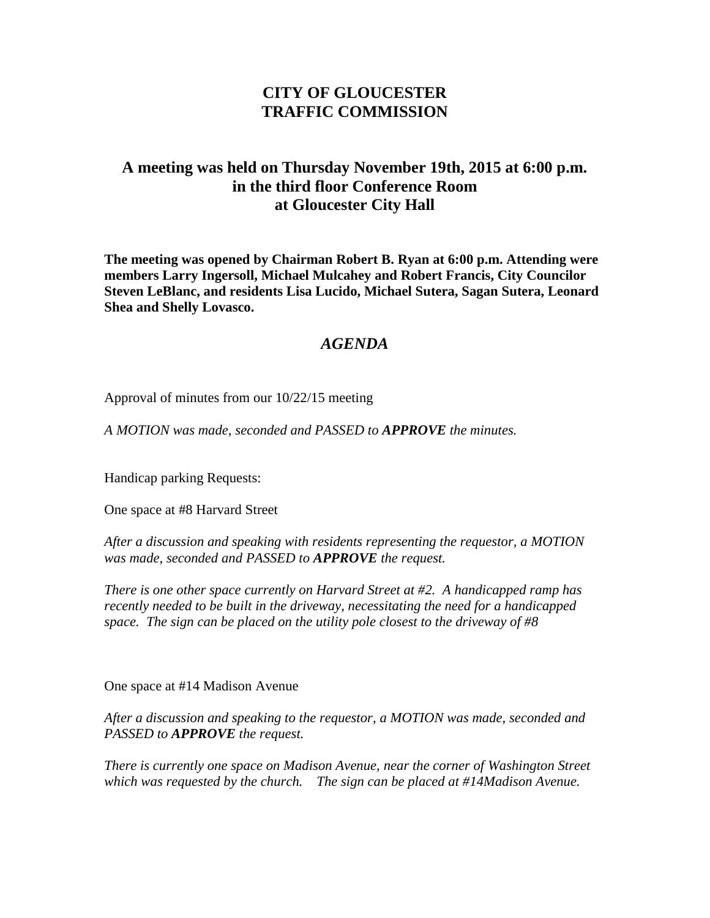## **CITY OF GLOUCESTER TRAFFIC COMMISSION**

## **A meeting was held on Thursday November 19th, 2015 at 6:00 p.m. in the third floor Conference Room at Gloucester City Hall**

**The meeting was opened by Chairman Robert B. Ryan at 6:00 p.m. Attending were members Larry Ingersoll, Michael Mulcahey and Robert Francis, City Councilor Steven LeBlanc, and residents Lisa Lucido, Michael Sutera, Sagan Sutera, Leonard Shea and Shelly Lovasco.**

## *AGENDA*

Approval of minutes from our 10/22/15 meeting

*A MOTION was made, seconded and PASSED to APPROVE the minutes.*

Handicap parking Requests:

One space at #8 Harvard Street

*After a discussion and speaking with residents representing the requestor, a MOTION was made, seconded and PASSED to APPROVE the request.*

*There is one other space currently on Harvard Street at #2. A handicapped ramp has recently needed to be built in the driveway, necessitating the need for a handicapped space. The sign can be placed on the utility pole closest to the driveway of #8*

One space at #14 Madison Avenue

*After a discussion and speaking to the requestor, a MOTION was made, seconded and PASSED to APPROVE the request.*

*There is currently one space on Madison Avenue, near the corner of Washington Street which was requested by the church. The sign can be placed at #14Madison Avenue.*